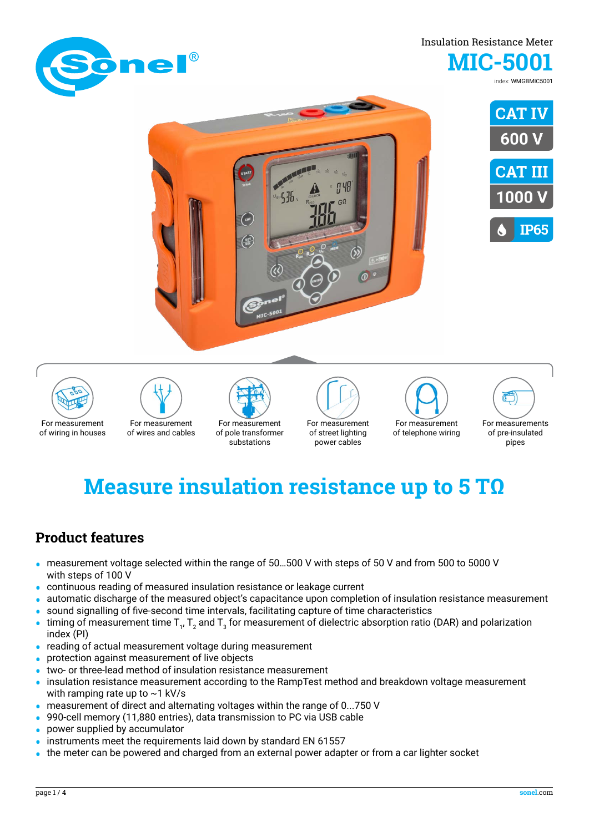

### Insulation Resistance Meter **MIC-5001**

index: WMGBMIC5001















# **Measure insulation resistance up to 5 TΩ**

### **Product features**

- **•** measurement voltage selected within the range of 50…500 V with steps of 50 V and from 500 to 5000 V with steps of 100 V
- **•** continuous reading of measured insulation resistance or leakage current
- **•** automatic discharge of the measured object's capacitance upon completion of insulation resistance measurement
- sound signalling of five-second time intervals, facilitating capture of time characteristics<br>• timing of measurement time T. T. and T. for measurement of dielectric absorption ratio
- timing of measurement time  $T_1$ ,  $T_2$  and  $T_3$  for measurement of dielectric absorption ratio (DAR) and polarization index (PI)
- **•** reading of actual measurement voltage during measurement
- **•** protection against measurement of live objects
- **•** two- or three-lead method of insulation resistance measurement
- **•** insulation resistance measurement according to the RampTest method and breakdown voltage measurement with ramping rate up to  $\sim$  1 kV/s
- **•** measurement of direct and alternating voltages within the range of 0...750 V
- **•** 990-cell memory (11,880 entries), data transmission to PC via USB cable
- **•** power supplied by accumulator
- **•** instruments meet the requirements laid down by standard EN 61557
- **•** the meter can be powered and charged from an external power adapter or from a car lighter socket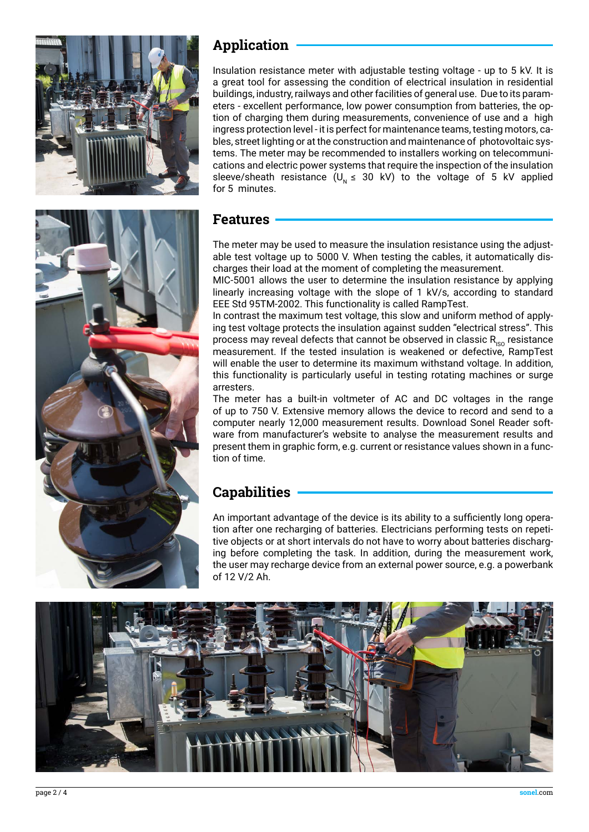

# **Application**

Insulation resistance meter with adjustable testing voltage - up to 5 kV. It is a great tool for assessing the condition of electrical insulation in residential buildings, industry, railways and other facilities of general use. Due to its parameters - excellent performance, low power consumption from batteries, the option of charging them during measurements, convenience of use and a high ingress protection level - it is perfect for maintenance teams, testing motors, cables, street lighting or at the construction and maintenance of photovoltaic systems. The meter may be recommended to installers working on telecommunications and electric power systems that require the inspection of the insulation sleeve/sheath resistance ( $U<sub>N</sub> \le 30$  kV) to the voltage of 5 kV applied for 5 minutes.

### **Features**

The meter may be used to measure the insulation resistance using the adjustable test voltage up to 5000 V. When testing the cables, it automatically discharges their load at the moment of completing the measurement.

MIC-5001 allows the user to determine the insulation resistance by applying linearly increasing voltage with the slope of 1 kV/s, according to standard EEE Std 95TM-2002. This functionality is called RampTest.

In contrast the maximum test voltage, this slow and uniform method of applying test voltage protects the insulation against sudden "electrical stress". This process may reveal defects that cannot be observed in classic  $R_{\text{ISO}}$  resistance measurement. If the tested insulation is weakened or defective, RampTest will enable the user to determine its maximum withstand voltage. In addition, this functionality is particularly useful in testing rotating machines or surge arresters.

The meter has a built-in voltmeter of AC and DC voltages in the range of up to 750 V. Extensive memory allows the device to record and send to a computer nearly 12,000 measurement results. Download Sonel Reader software from manufacturer's website to analyse the measurement results and present them in graphic form, e.g. current or resistance values shown in a function of time.

# **Capabilities**

An important advantage of the device is its ability to a sufficiently long operation after one recharging of batteries. Electricians performing tests on repetitive objects or at short intervals do not have to worry about batteries discharging before completing the task. In addition, during the measurement work, the user may recharge device from an external power source, e.g. a powerbank of 12 V/2 Ah.

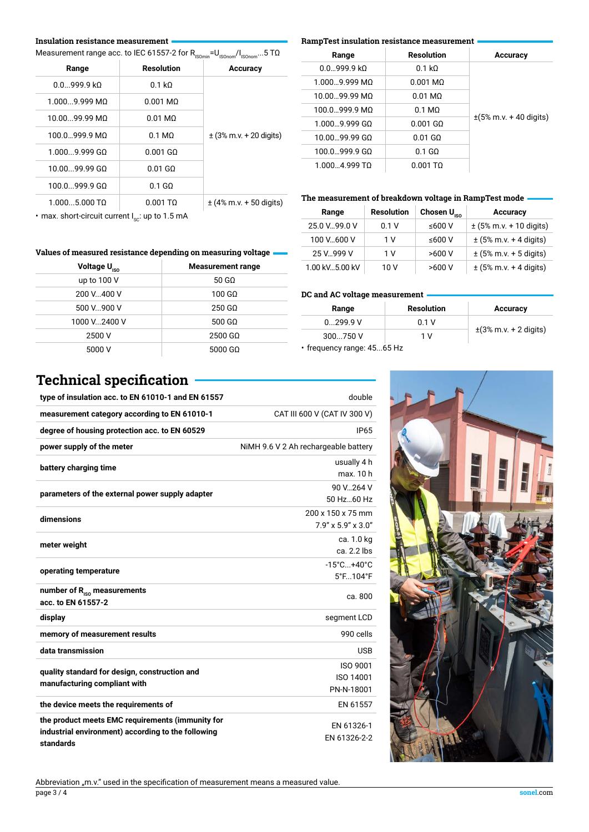### **Insulation resistance measurement**

Measurement range acc. to IEC 61557-2 for  $R_{\text{Isomin}} = U_{\text{Isonom}} / I_{\text{Isonom}}$ ...5 T $\Omega$ 

| Range           | <b>Resolution</b>      | <b>Accuracy</b>             |
|-----------------|------------------------|-----------------------------|
| 0.0999.9 k      | $0.1 k\Omega$          |                             |
| $1.0009.999$ MQ | $0.001$ MQ             |                             |
| 10.0099.99 MQ   | $0.01 \text{ M}\Omega$ |                             |
| 100.0999.9 MΩ   | $0.1 \text{ M}\Omega$  | $\pm$ (3% m.v. + 20 digits) |
| $1.0009.999$ GO | $0.001$ GO             |                             |
| 10.0099.99 GO   | $0.01$ GO              |                             |
| 100.0999.9 GO   | $0.1$ GQ               |                             |
| $1.0005.000$ TQ | $0.001$ TQ             | $\pm$ (4% m.v. + 50 digits) |
|                 |                        |                             |

### **RampTest insulation resistance measurement**

| Accuracy                                    | Resolution | Range                  |
|---------------------------------------------|------------|------------------------|
|                                             | 0.1 kO     | $0.0.9999$ kO          |
|                                             | 0.001 MO   | 1.000 9.999 MO         |
|                                             | 0.01 MO    | 10.00 99.99 MO         |
|                                             | $0.1$ MO   | 100.0999.9 MQ          |
| $\pm(5\% \text{ m.v.} + 40 \text{ digits})$ | 0.001 GO   | 1.000 9.999 GO         |
|                                             | 0.01 GO    | 10.00 99.99 GO         |
|                                             | $0.1$ GQ   | $100.0999.9 \text{ G}$ |
|                                             | 0.001 TO   | 1.000 4.999 TO         |

### **The measurement of breakdown voltage in RampTest mode**

| Range           | <b>Resolution</b> | Chosen $U_{\text{iso}}$ | Accuracy                    |
|-----------------|-------------------|-------------------------|-----------------------------|
| 25.0 V., 99.0 V | 0.1V              | ≤600 V                  | $\pm$ (5% m.v. + 10 digits) |
| 100 V600 V      | 1 V               | ≤600 V                  | $\pm$ (5% m.v. + 4 digits)  |
| 25 V 999 V      | 1 V               | >600V                   | $\pm$ (5% m.v. + 5 digits)  |
| 1.00 kV5.00 kV  | 10 V              | >600V                   | $\pm$ (5% m.v. + 4 digits)  |

• max. short-circuit current  $I_{\text{sc}}$ : up to 1.5 mA

### **Values of measured resistance depending on measuring voltage**

| Voltage U <sub>ISO</sub> | <b>Measurement range</b> |
|--------------------------|--------------------------|
| up to $100V$             | $50 \text{ G}$           |
| 200 V., 400 V            | 100 GQ                   |
| 500 V900 V               | $250$ GQ                 |
| 1000 V2400 V             | 500 GQ                   |
| 2500 V                   | 2500 GQ                  |
| 5000 V                   | 5000 GQ                  |

### **DC and AC voltage measurement**

| Range      | <b>Resolution</b> | Accuracy                   |  |
|------------|-------------------|----------------------------|--|
| 0.299.9V   | 0.1V              | $\pm$ (3% m.v. + 2 digits) |  |
| $300750$ V | 1 V               |                            |  |
|            |                   |                            |  |

• frequency range: 45...65 Hz

# **Technical specification**

| type of insulation acc. to EN 61010-1 and EN 61557                                                                  | double                                       |
|---------------------------------------------------------------------------------------------------------------------|----------------------------------------------|
| measurement category according to EN 61010-1                                                                        | CAT III 600 V (CAT IV 300 V)                 |
| degree of housing protection acc. to EN 60529                                                                       | <b>IP65</b>                                  |
| power supply of the meter                                                                                           | NiMH 9.6 V 2 Ah rechargeable battery         |
| battery charging time                                                                                               | usually 4 h<br>max. 10 h                     |
| parameters of the external power supply adapter                                                                     | 90 V., 264 V<br>50 Hz60 Hz                   |
| dimensions                                                                                                          | 200 x 150 x 75 mm<br>7.9" x 5.9" x 3.0"      |
| meter weight                                                                                                        | ca. 1.0 kg<br>ca. 2.2 lbs                    |
| operating temperature                                                                                               | $-15^{\circ}$ C +40 $^{\circ}$ C<br>5°F104°F |
| number of $R_{\text{iso}}$ measurements<br>acc. to EN 61557-2                                                       | ca. 800                                      |
| display                                                                                                             | segment LCD                                  |
| memory of measurement results                                                                                       | 990 cells                                    |
| data transmission                                                                                                   | <b>USB</b>                                   |
| quality standard for design, construction and<br>manufacturing compliant with                                       | <b>ISO 9001</b><br>ISO 14001<br>PN-N-18001   |
| the device meets the requirements of                                                                                | EN 61557                                     |
| the product meets EMC requirements (immunity for<br>industrial environment) according to the following<br>standards | EN 61326-1<br>EN 61326-2-2                   |